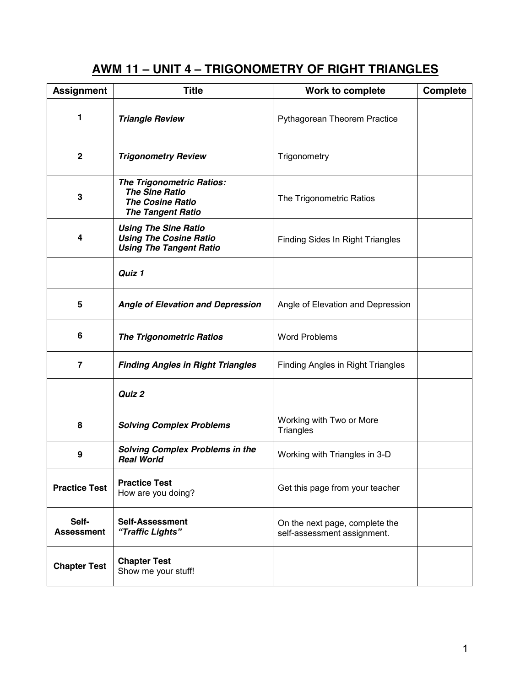# **AWM 11 – UNIT 4 – TRIGONOMETRY OF RIGHT TRIANGLES**

| <b>Assignment</b>          | <b>Title</b>                                                                                                     | Work to complete                                              | Complete |
|----------------------------|------------------------------------------------------------------------------------------------------------------|---------------------------------------------------------------|----------|
| 1                          | <b>Triangle Review</b>                                                                                           | Pythagorean Theorem Practice                                  |          |
| $\mathbf 2$                | <b>Trigonometry Review</b>                                                                                       | Trigonometry                                                  |          |
| 3                          | <b>The Trigonometric Ratios:</b><br><b>The Sine Ratio</b><br><b>The Cosine Ratio</b><br><b>The Tangent Ratio</b> | The Trigonometric Ratios                                      |          |
| 4                          | <b>Using The Sine Ratio</b><br><b>Using The Cosine Ratio</b><br><b>Using The Tangent Ratio</b>                   | <b>Finding Sides In Right Triangles</b>                       |          |
|                            | Quiz 1                                                                                                           |                                                               |          |
| 5                          | <b>Angle of Elevation and Depression</b>                                                                         | Angle of Elevation and Depression                             |          |
| 6                          | <b>The Trigonometric Ratios</b>                                                                                  | <b>Word Problems</b>                                          |          |
| $\overline{\mathbf{z}}$    | <b>Finding Angles in Right Triangles</b>                                                                         | <b>Finding Angles in Right Triangles</b>                      |          |
|                            | Quiz 2                                                                                                           |                                                               |          |
| 8                          | <b>Solving Complex Problems</b>                                                                                  | Working with Two or More<br><b>Triangles</b>                  |          |
| 9                          | <b>Solving Complex Problems in the</b><br><b>Real World</b>                                                      | Working with Triangles in 3-D                                 |          |
| <b>Practice Test</b>       | <b>Practice Test</b><br>How are you doing?                                                                       | Get this page from your teacher                               |          |
| Self-<br><b>Assessment</b> | <b>Self-Assessment</b><br>"Traffic Lights"                                                                       | On the next page, complete the<br>self-assessment assignment. |          |
| <b>Chapter Test</b>        | <b>Chapter Test</b><br>Show me your stuff!                                                                       |                                                               |          |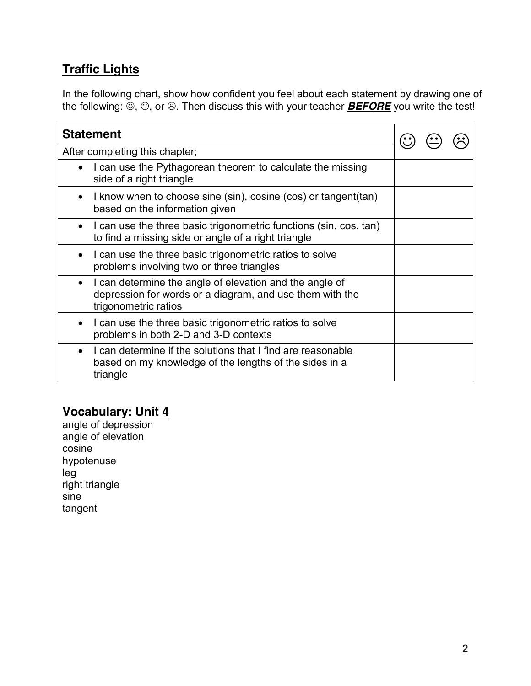# **Traffic Lights**

In the following chart, show how confident you feel about each statement by drawing one of the following:  $\ddot{\circ}$ ,  $\circledcirc$ , or  $\circledcirc$ . Then discuss this with your teacher **BEFORE** you write the test!

| <b>Statement</b>                                                                                                                                         |  |  |
|----------------------------------------------------------------------------------------------------------------------------------------------------------|--|--|
| After completing this chapter;                                                                                                                           |  |  |
| I can use the Pythagorean theorem to calculate the missing<br>$\bullet$<br>side of a right triangle                                                      |  |  |
| I know when to choose sine (sin), cosine (cos) or tangent (tan)<br>based on the information given                                                        |  |  |
| I can use the three basic trigonometric functions (sin, cos, tan)<br>$\bullet$<br>to find a missing side or angle of a right triangle                    |  |  |
| I can use the three basic trigonometric ratios to solve<br>problems involving two or three triangles                                                     |  |  |
| I can determine the angle of elevation and the angle of<br>$\bullet$<br>depression for words or a diagram, and use them with the<br>trigonometric ratios |  |  |
| I can use the three basic trigonometric ratios to solve<br>problems in both 2-D and 3-D contexts                                                         |  |  |
| I can determine if the solutions that I find are reasonable<br>based on my knowledge of the lengths of the sides in a<br>triangle                        |  |  |

# **Vocabulary: Unit 4**

angle of depression angle of elevation cosine hypotenuse leg right triangle sine tangent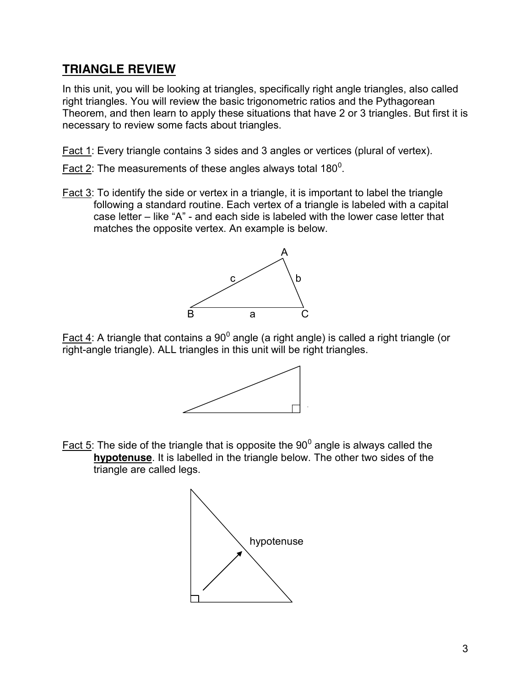### **TRIANGLE REVIEW**

In this unit, you will be looking at triangles, specifically right angle triangles, also called right triangles. You will review the basic trigonometric ratios and the Pythagorean Theorem, and then learn to apply these situations that have 2 or 3 triangles. But first it is necessary to review some facts about triangles.

Fact 1: Every triangle contains 3 sides and 3 angles or vertices (plural of vertex).

- Fact 2: The measurements of these angles always total 180<sup>0</sup>.
- Fact 3: To identify the side or vertex in a triangle, it is important to label the triangle following a standard routine. Each vertex of a triangle is labeled with a capital case letter – like "A" - and each side is labeled with the lower case letter that matches the opposite vertex. An example is below.



Fact 4: A triangle that contains a  $90^0$  angle (a right angle) is called a right triangle (or right-angle triangle). ALL triangles in this unit will be right triangles.



Fact 5: The side of the triangle that is opposite the  $90^{\circ}$  angle is always called the **hypotenuse**. It is labelled in the triangle below. The other two sides of the triangle are called legs.

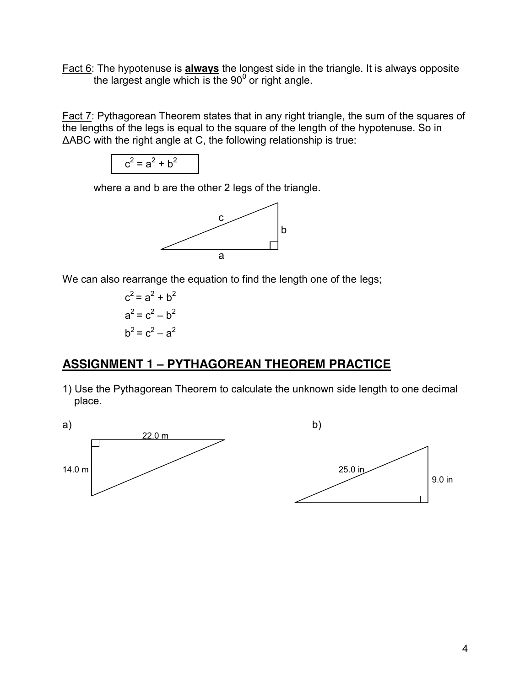Fact 6: The hypotenuse is **always** the longest side in the triangle. It is always opposite the largest angle which is the  $90^{\circ}$  or right angle.

Fact 7: Pythagorean Theorem states that in any right triangle, the sum of the squares of the lengths of the legs is equal to the square of the length of the hypotenuse. So in ΔABC with the right angle at C, the following relationship is true:

$$
c^2 = a^2 + b^2
$$

where a and b are the other 2 legs of the triangle.



We can also rearrange the equation to find the length one of the legs;

 $c^2 = a^2 + b^2$  $a^2 = c^2 - b^2$  $b^2 = c^2 - a^2$ 

## **ASSIGNMENT 1 – PYTHAGOREAN THEOREM PRACTICE**

1) Use the Pythagorean Theorem to calculate the unknown side length to one decimal place.

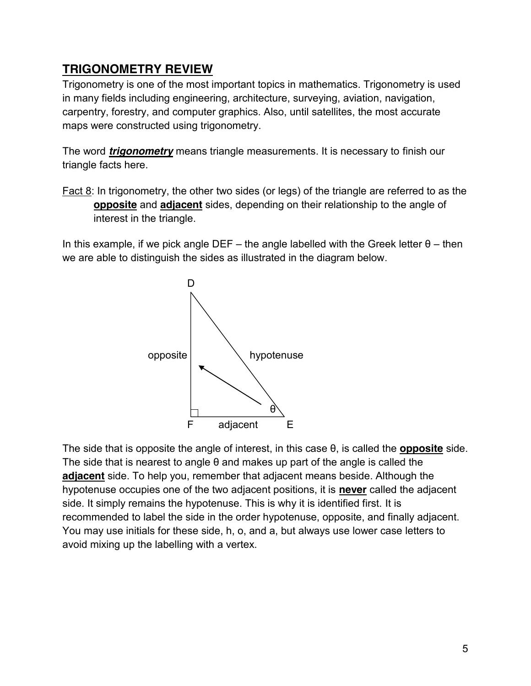## **TRIGONOMETRY REVIEW**

Trigonometry is one of the most important topics in mathematics. Trigonometry is used in many fields including engineering, architecture, surveying, aviation, navigation, carpentry, forestry, and computer graphics. Also, until satellites, the most accurate maps were constructed using trigonometry.

The word *trigonometry* means triangle measurements. It is necessary to finish our triangle facts here.

Fact 8: In trigonometry, the other two sides (or legs) of the triangle are referred to as the **opposite** and **adjacent** sides, depending on their relationship to the angle of interest in the triangle.

In this example, if we pick angle DEF – the angle labelled with the Greek letter  $θ$  – then we are able to distinguish the sides as illustrated in the diagram below.



The side that is opposite the angle of interest, in this case θ, is called the **opposite** side. The side that is nearest to angle θ and makes up part of the angle is called the **adjacent** side. To help you, remember that adjacent means beside. Although the hypotenuse occupies one of the two adjacent positions, it is **never** called the adjacent side. It simply remains the hypotenuse. This is why it is identified first. It is recommended to label the side in the order hypotenuse, opposite, and finally adjacent. You may use initials for these side, h, o, and a, but always use lower case letters to avoid mixing up the labelling with a vertex.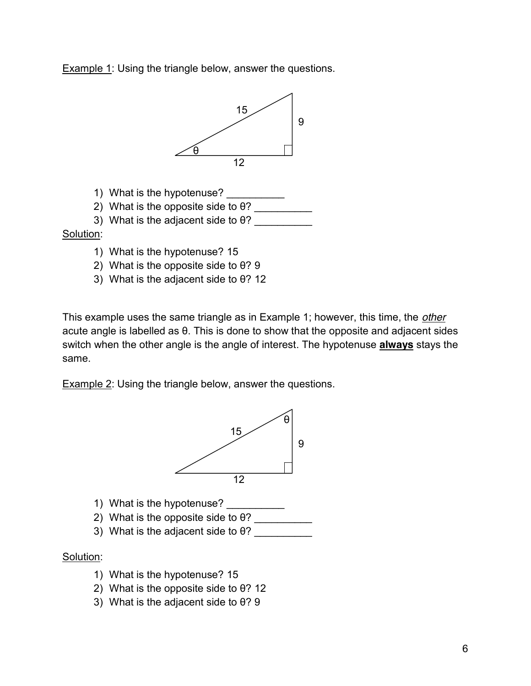**Example 1: Using the triangle below, answer the questions.** 



- 1) What is the hypotenuse?
- 2) What is the opposite side to  $\theta$ ?
- 3) What is the adjacent side to  $\theta$ ?

#### Solution:

- 1) What is the hypotenuse? 15
- 2) What is the opposite side to θ? 9
- 3) What is the adjacent side to θ? 12

This example uses the same triangle as in Example 1; however, this time, the *other* acute angle is labelled as θ. This is done to show that the opposite and adjacent sides switch when the other angle is the angle of interest. The hypotenuse **always** stays the same.

**Example 2: Using the triangle below, answer the questions.** 



- 1) What is the hypotenuse?
- 2) What is the opposite side to  $\theta$ ?
- 3) What is the adjacent side to  $\theta$ ?

#### Solution:

- 1) What is the hypotenuse? 15
- 2) What is the opposite side to θ? 12
- 3) What is the adjacent side to θ? 9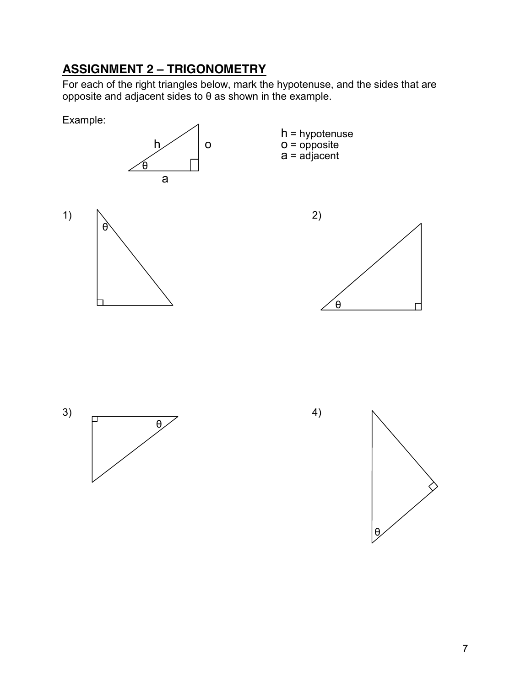# **ASSIGNMENT 2 – TRIGONOMETRY**

For each of the right triangles below, mark the hypotenuse, and the sides that are opposite and adjacent sides to θ as shown in the example.





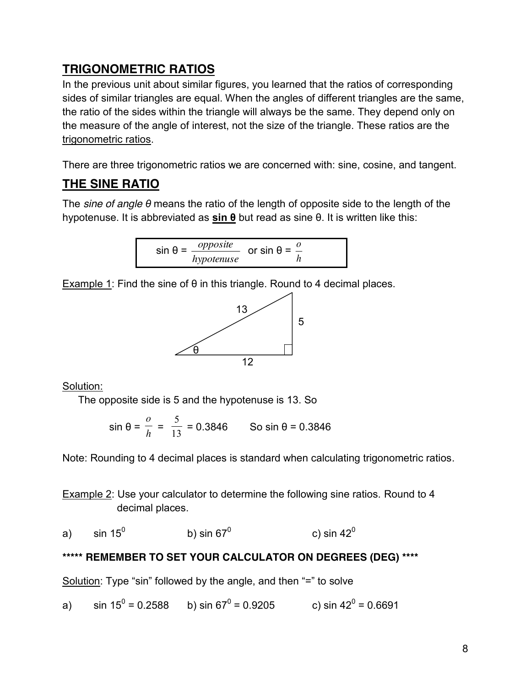# **TRIGONOMETRIC RATIOS**

In the previous unit about similar figures, you learned that the ratios of corresponding sides of similar triangles are equal. When the angles of different triangles are the same, the ratio of the sides within the triangle will always be the same. They depend only on the measure of the angle of interest, not the size of the triangle. These ratios are the trigonometric ratios.

There are three trigonometric ratios we are concerned with: sine, cosine, and tangent.

# **THE SINE RATIO**

The *sine of angle θ* means the ratio of the length of opposite side to the length of the hypotenuse. It is abbreviated as **sin θ** but read as sine θ. It is written like this:

$$
\sin \theta = \frac{opposite}{hypotenuse} \quad \text{or} \quad \sin \theta = \frac{0}{h}
$$

Example 1: Find the sine of  $\theta$  in this triangle. Round to 4 decimal places.



Solution:

The opposite side is 5 and the hypotenuse is 13. So

sin θ = *<sup>h</sup> o*  $=\frac{1}{13}$ 5  $= 0.3846$  So sin θ = 0.3846

Note: Rounding to 4 decimal places is standard when calculating trigonometric ratios.

Example 2: Use your calculator to determine the following sine ratios. Round to 4 decimal places.

a) sin  $15^0$  b) sin  $67^0$  c) sin  $42^0$ 

## **\*\*\*\*\* REMEMBER TO SET YOUR CALCULATOR ON DEGREES (DEG) \*\*\*\***

Solution: Type "sin" followed by the angle, and then "=" to solve

a) sin  $15^0 = 0.2588$  b) sin  $67^0 = 0.9205$  c) sin  $42^0 = 0.6691$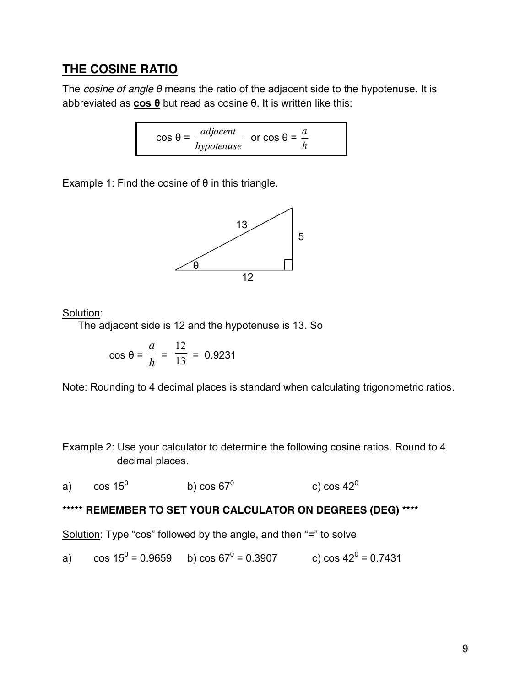### **THE COSINE RATIO**

The *cosine of angle θ* means the ratio of the adjacent side to the hypotenuse. It is abbreviated as **cos θ** but read as cosine θ. It is written like this:

> $cos θ =$ *hypotenuse*  $\frac{adjacent}{adjacent}$  or cos  $\theta =$ *h a*

Example 1: Find the cosine of  $\theta$  in this triangle.



Solution:

The adjacent side is 12 and the hypotenuse is 13. So

$$
\cos \theta = \frac{a}{h} = \frac{12}{13} = 0.9231
$$

Note: Rounding to 4 decimal places is standard when calculating trigonometric ratios.

Example 2: Use your calculator to determine the following cosine ratios. Round to 4 decimal places.

a) cos  $15^0$  b) cos  $67^0$  c) cos  $42^0$ 

#### **\*\*\*\*\* REMEMBER TO SET YOUR CALCULATOR ON DEGREES (DEG) \*\*\*\***

Solution: Type "cos" followed by the angle, and then "=" to solve

a) 
$$
\cos 15^\circ = 0.9659
$$
 b)  $\cos 67^\circ = 0.3907$  c)  $\cos 42^\circ = 0.7431$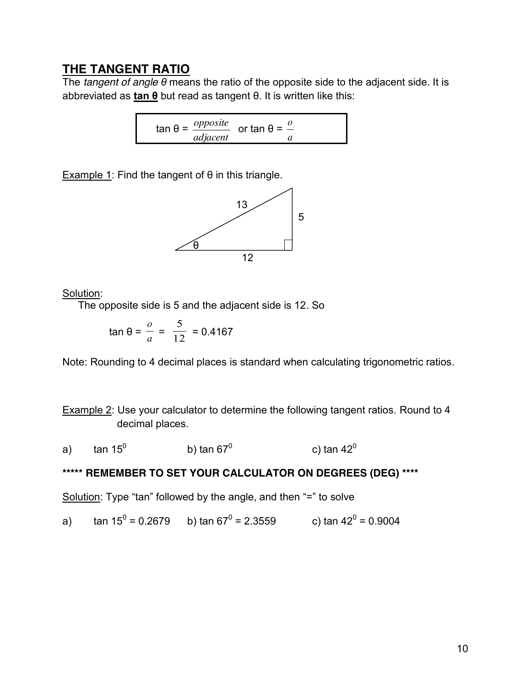### **THE TANGENT RATIO**

The *tangent of angle θ* means the ratio of the opposite side to the adjacent side. It is abbreviated as **tan θ** but read as tangent θ. It is written like this:

$$
\tan \theta = \frac{opposite}{adjacent} \quad \text{or } \tan \theta = \frac{0}{a}
$$

Example 1: Find the tangent of  $\theta$  in this triangle.



Solution:

The opposite side is 5 and the adjacent side is 12. So

$$
\tan \theta = \frac{0}{a} = \frac{5}{12} = 0.4167
$$

Note: Rounding to 4 decimal places is standard when calculating trigonometric ratios.

Example 2: Use your calculator to determine the following tangent ratios. Round to 4 decimal places.

a) tan 15<sup>0</sup> b) tan 67<sup>0</sup> c) tan 42<sup>0</sup>

### **\*\*\*\*\* REMEMBER TO SET YOUR CALCULATOR ON DEGREES (DEG) \*\*\*\***

Solution: Type "tan" followed by the angle, and then "=" to solve

a) tan  $15^0$  = 0.2679 b) tan  $67^0$  = 2.3559 c) tan  $42^0$  = 0.9004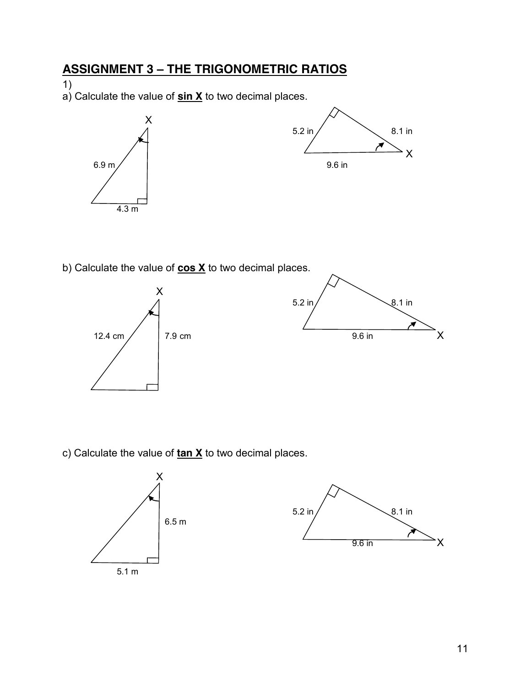# **ASSIGNMENT 3 – THE TRIGONOMETRIC RATIOS**

1)

a) Calculate the value of **sin X** to two decimal places.



b) Calculate the value of **cos X** to two decimal places.



c) Calculate the value of **tan X** to two decimal places.



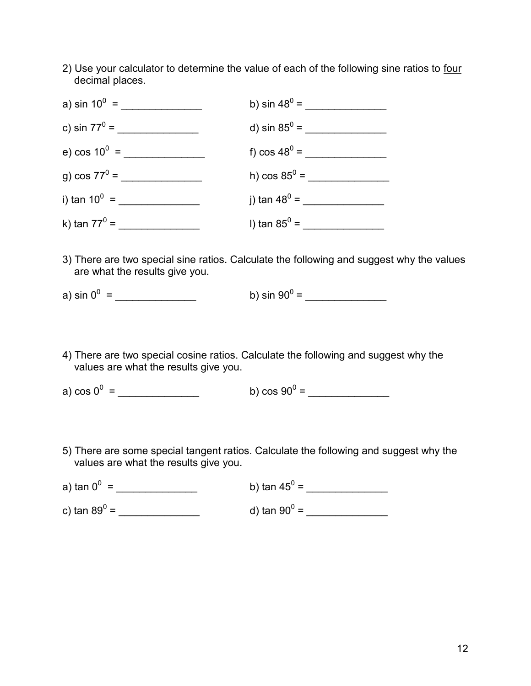2) Use your calculator to determine the value of each of the following sine ratios to four decimal places.



- 3) There are two special sine ratios. Calculate the following and suggest why the values are what the results give you.
- a) sin 0<sup>0</sup> = \_\_\_\_\_\_\_\_\_\_\_\_\_\_ b) sin 90<sup>0</sup> = \_\_\_\_\_\_\_\_\_\_\_\_\_\_
- 4) There are two special cosine ratios. Calculate the following and suggest why the values are what the results give you.

a) cos 0<sup>0</sup> = \_\_\_\_\_\_\_\_\_\_\_\_\_\_ b) cos 90<sup>0</sup> = \_\_\_\_\_\_\_\_\_\_\_\_\_\_

5) There are some special tangent ratios. Calculate the following and suggest why the values are what the results give you.

| a) tan $0^0$ =         | b) tan $45^{\circ}$ =  |
|------------------------|------------------------|
| c) tan 89 $^{\circ}$ = | d) tan 90 $^{\circ}$ = |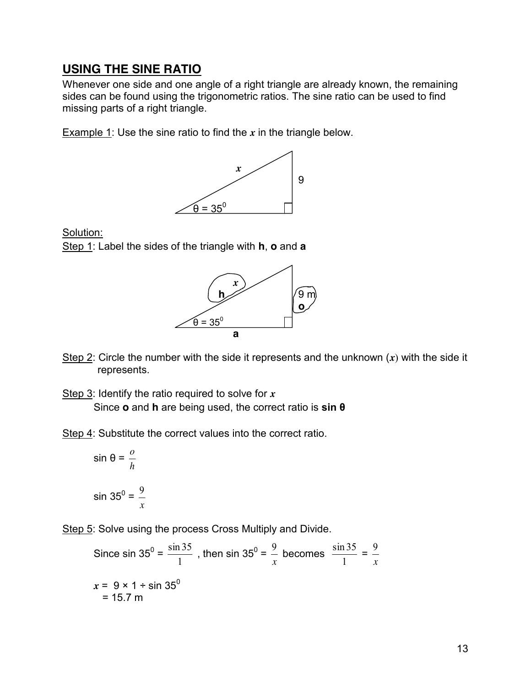### **USING THE SINE RATIO**

Whenever one side and one angle of a right triangle are already known, the remaining sides can be found using the trigonometric ratios. The sine ratio can be used to find missing parts of a right triangle.

Example 1: Use the sine ratio to find the *x* in the triangle below.



Solution:

Step 1: Label the sides of the triangle with **h**, **o** and **a**



- Step 2: Circle the number with the side it represents and the unknown (*x*) with the side it represents.
- Step 3: Identify the ratio required to solve for *x* Since **o** and **h** are being used, the correct ratio is **sin θ**
- Step 4: Substitute the correct values into the correct ratio.

$$
\sin \theta = \frac{0}{h}
$$
  

$$
\sin 35^0 = \frac{9}{x}
$$

Step 5: Solve using the process Cross Multiply and Divide.

Since 
$$
\sin 35^\circ = \frac{\sin 35}{1}
$$
, then  $\sin 35^\circ = \frac{9}{x}$  becomes  $\frac{\sin 35}{1} = \frac{9}{x}$   
 $x = 9 \times 1 \div \sin 35^\circ$   
= 15.7 m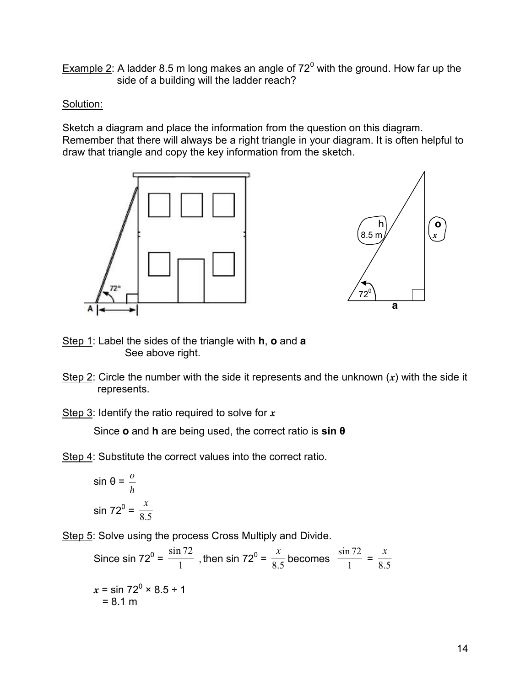Example  $2$ : A ladder 8.5 m long makes an angle of  $72^0$  with the ground. How far up the side of a building will the ladder reach?

#### Solution:

Sketch a diagram and place the information from the question on this diagram. Remember that there will always be a right triangle in your diagram. It is often helpful to draw that triangle and copy the key information from the sketch.





- Step 1: Label the sides of the triangle with **h**, **o** and **a** See above right.
- Step 2: Circle the number with the side it represents and the unknown (*x*) with the side it represents.

Step 3: Identify the ratio required to solve for *x*

Since **o** and **h** are being used, the correct ratio is **sin θ**

Step 4: Substitute the correct values into the correct ratio.

$$
\sin \theta = \frac{0}{h}
$$

$$
\sin 72^0 = \frac{x}{8.5}
$$

Step 5: Solve using the process Cross Multiply and Divide.

Since sin 72<sup>0</sup> =  $\frac{\sin 72}{1}$ , then sin 72<sup>0</sup> =  $\frac{x}{8.5}$ becomes  $\frac{34}{1}$ sin 72  $=\frac{1}{8.5}$ *x*  $x = \sin 72^0 \times 8.5 \div 1$  $= 8.1 m$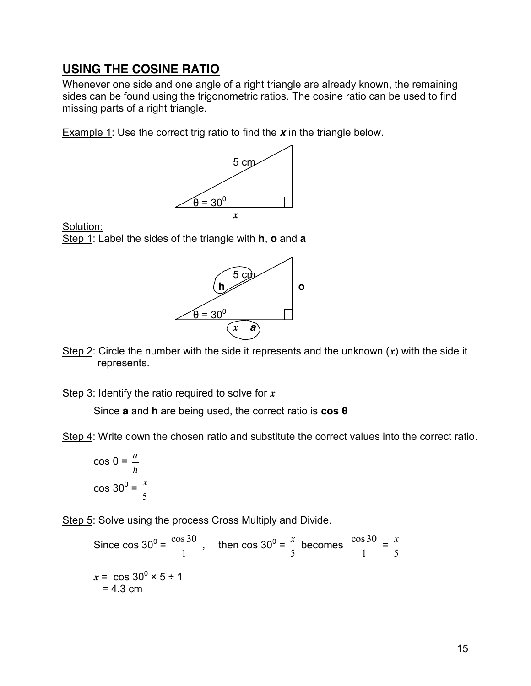### **USING THE COSINE RATIO**

Whenever one side and one angle of a right triangle are already known, the remaining sides can be found using the trigonometric ratios. The cosine ratio can be used to find missing parts of a right triangle.

Example 1: Use the correct trig ratio to find the *x* in the triangle below.



Solution: Step 1: Label the sides of the triangle with **h**, **o** and **a**



Step 2: Circle the number with the side it represents and the unknown (*x*) with the side it represents.

Step 3: Identify the ratio required to solve for *x*

Since **a** and **h** are being used, the correct ratio is **cos θ**

Step 4: Write down the chosen ratio and substitute the correct values into the correct ratio.

cos θ = *h a*  $\cos 30^\circ =$ 5 *x*

Step 5: Solve using the process Cross Multiply and Divide.

Since cos  $30^0$  = 1  $\frac{\cos 30}{\cos 30}$ , then cos 30<sup>0</sup> = 5  $\frac{x}{x}$  becomes 1  $\frac{\cos 30}{1}$  = 5 *x*  $x = \cos 30^\circ \times 5 \div 1$  $= 4.3$  cm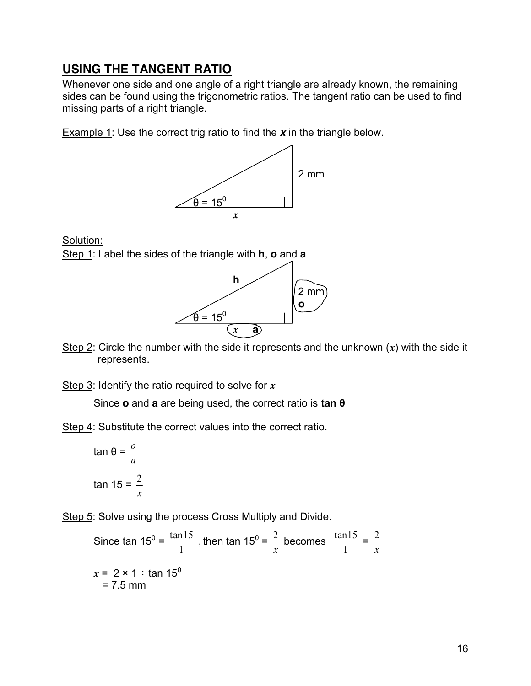## **USING THE TANGENT RATIO**

Whenever one side and one angle of a right triangle are already known, the remaining sides can be found using the trigonometric ratios. The tangent ratio can be used to find missing parts of a right triangle.

Example 1: Use the correct trig ratio to find the *x* in the triangle below.



Solution:

Step 1: Label the sides of the triangle with **h**, **o** and **a**



Step 2: Circle the number with the side it represents and the unknown (*x*) with the side it represents.

Step 3: Identify the ratio required to solve for *x*

Since **o** and **a** are being used, the correct ratio is **tan θ**

Step 4: Substitute the correct values into the correct ratio.

$$
\tan \theta = \frac{0}{a}
$$
  

$$
\tan 15 = \frac{2}{x}
$$

Step 5: Solve using the process Cross Multiply and Divide.

Since tan  $15^0$  = 1  $\frac{\tan 15}{\tan 15}$ , then tan 15<sup>0</sup> = *x*  $2$  becomes 1  $\frac{\tan 15}{\tan 15}$  = *x* 2  $x = 2 \times 1 \div \tan 15^0$  $= 7.5$  mm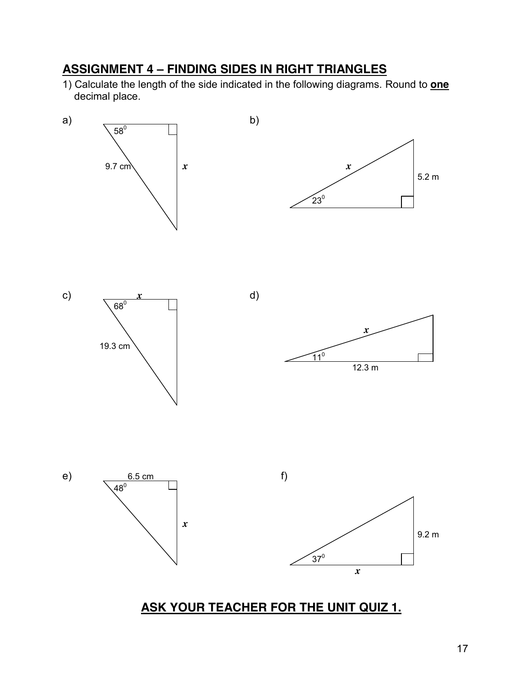# **ASSIGNMENT 4 – FINDING SIDES IN RIGHT TRIANGLES**

1) Calculate the length of the side indicated in the following diagrams. Round to **one** decimal place.



# **ASK YOUR TEACHER FOR THE UNIT QUIZ 1.**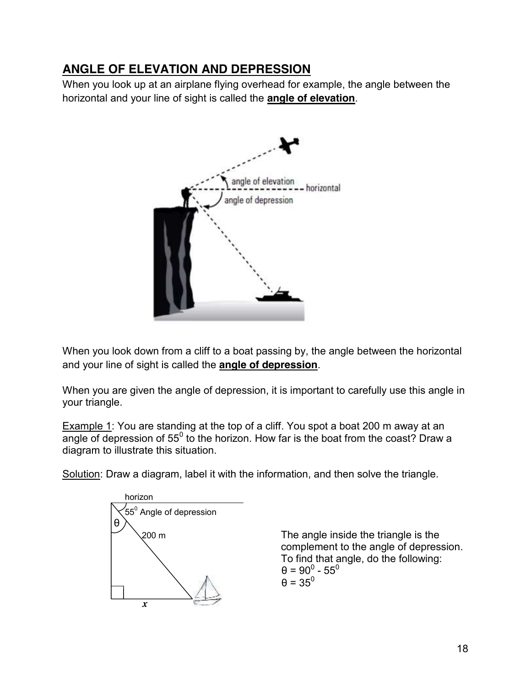## **ANGLE OF ELEVATION AND DEPRESSION**

When you look up at an airplane flying overhead for example, the angle between the horizontal and your line of sight is called the **angle of elevation**.



When you look down from a cliff to a boat passing by, the angle between the horizontal and your line of sight is called the **angle of depression**.

When you are given the angle of depression, it is important to carefully use this angle in your triangle.

Example 1: You are standing at the top of a cliff. You spot a boat 200 m away at an angle of depression of  $55^{\circ}$  to the horizon. How far is the boat from the coast? Draw a diagram to illustrate this situation.

Solution: Draw a diagram, label it with the information, and then solve the triangle.



200 m The angle inside the triangle is the complement to the angle of depression. To find that angle, do the following:  $\theta = 90^0 - 55^0$  $\theta = 35^\circ$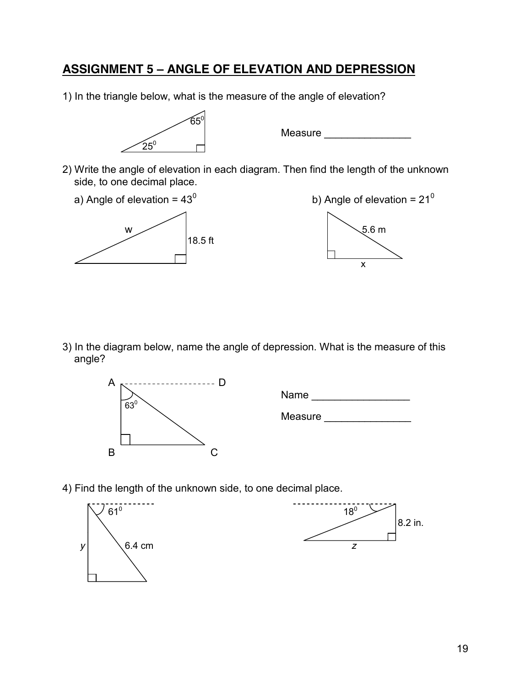### **ASSIGNMENT 5 – ANGLE OF ELEVATION AND DEPRESSION**

1) In the triangle below, what is the measure of the angle of elevation?



Measure **Measure** 

2) Write the angle of elevation in each diagram. Then find the length of the unknown side, to one decimal place.





3) In the diagram below, name the angle of depression. What is the measure of this angle?



Name \_\_\_\_\_\_\_\_\_\_\_\_\_\_\_\_\_

Measure \_\_\_\_\_\_\_\_\_\_\_\_\_\_\_

4) Find the length of the unknown side, to one decimal place.

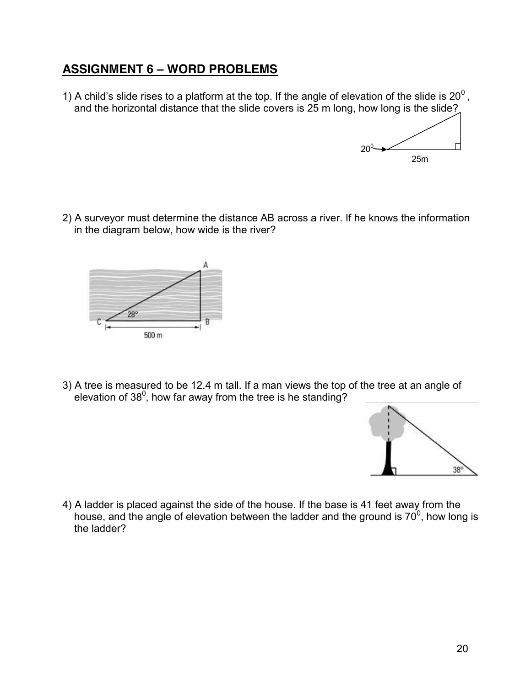## **ASSIGNMENT 6 – WORD PROBLEMS**

1) A child's slide rises to a platform at the top. If the angle of elevation of the slide is  $20^0$ , and the horizontal distance that the slide covers is 25 m long, how long is the slide?



2) A surveyor must determine the distance AB across a river. If he knows the information in the diagram below, how wide is the river?



3) A tree is measured to be 12.4 m tall. If a man views the top of the tree at an angle of elevation of 38<sup>0</sup>, how far away from the tree is he standing?



4) A ladder is placed against the side of the house. If the base is 41 feet away from the house, and the angle of elevation between the ladder and the ground is  $70^0$ , how long is the ladder?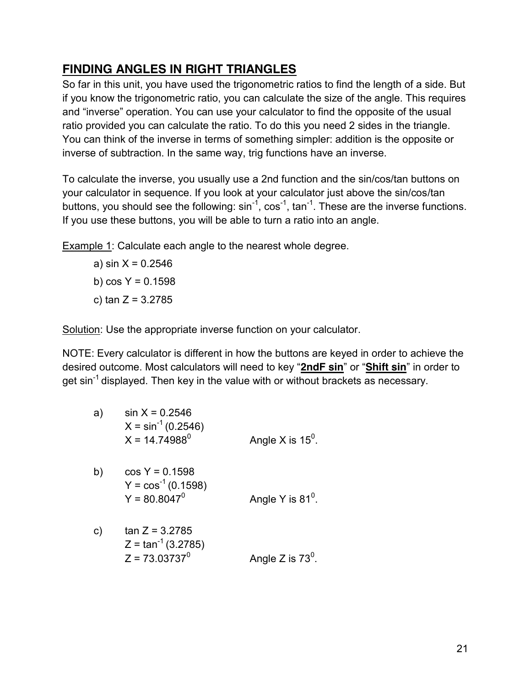## **FINDING ANGLES IN RIGHT TRIANGLES**

So far in this unit, you have used the trigonometric ratios to find the length of a side. But if you know the trigonometric ratio, you can calculate the size of the angle. This requires and "inverse" operation. You can use your calculator to find the opposite of the usual ratio provided you can calculate the ratio. To do this you need 2 sides in the triangle. You can think of the inverse in terms of something simpler: addition is the opposite or inverse of subtraction. In the same way, trig functions have an inverse.

To calculate the inverse, you usually use a 2nd function and the sin/cos/tan buttons on your calculator in sequence. If you look at your calculator just above the sin/cos/tan buttons, you should see the following:  $sin^{-1}$ ,  $cos^{-1}$ ,  $tan^{-1}$ . These are the inverse functions. If you use these buttons, you will be able to turn a ratio into an angle.

Example 1: Calculate each angle to the nearest whole degree.

a) sin  $X = 0.2546$ b) cos Y = 0.1598 c) tan  $Z = 3.2785$ 

Solution: Use the appropriate inverse function on your calculator.

NOTE: Every calculator is different in how the buttons are keyed in order to achieve the desired outcome. Most calculators will need to key "**2ndF sin**" or "**Shift sin**" in order to get sin<sup>-1</sup> displayed. Then key in the value with or without brackets as necessary.

| a) | $\sin X = 0.2546$<br>$X = \sin^{-1}(0.2546)$<br>$X = 14.74988^0$ | Angle X is $15^{\circ}$ . |
|----|------------------------------------------------------------------|---------------------------|
| b) | $cos Y = 0.1598$<br>$Y = cos^{-1}(0.1598)$<br>$Y = 80.8047^0$    | Angle Y is $81^\circ$ .   |
| C) | $tan Z = 3.2785$<br>$Z = \tan^{-1}(3.2785)$<br>$Z = 73.03737^0$  | Angle Z is $73^{\circ}$ . |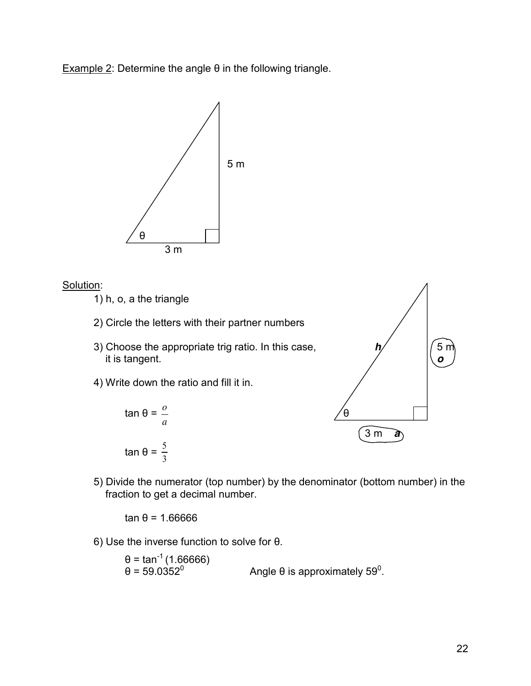Example 2: Determine the angle  $θ$  in the following triangle.



#### Solution:

1) h, o, a the triangle

- 2) Circle the letters with their partner numbers
- 3) Choose the appropriate trig ratio. In this case,  $h/$   $|/5$  m it is tangent. *o*
- 4) Write down the ratio and fill it in.





5) Divide the numerator (top number) by the denominator (bottom number) in the fraction to get a decimal number.

tan θ = 1.66666

6) Use the inverse function to solve for θ.

θ = tan<sup>-1</sup> (1.66666)<br>θ = 59.0352<sup>0</sup> θ = 59.0352 $^0$   $\hspace{1cm}$  Angle θ is approximately 59 $^0$ .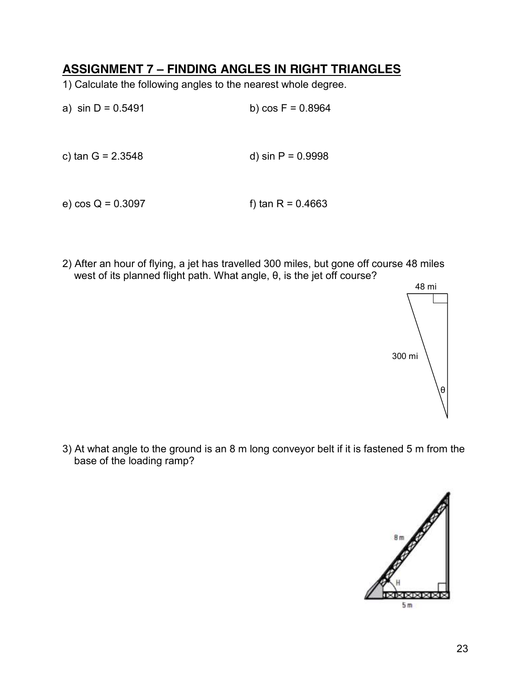### **ASSIGNMENT 7 – FINDING ANGLES IN RIGHT TRIANGLES**

1) Calculate the following angles to the nearest whole degree.

a)  $\sin D = 0.5491$  b)  $\cos F = 0.8964$ c)  $\tan G = 2.3548$  d)  $\sin P = 0.9998$ 

e) cos Q = 0.3097 f) tan R = 0.4663

2) After an hour of flying, a jet has travelled 300 miles, but gone off course 48 miles west of its planned flight path. What angle, θ, is the jet off course?



3) At what angle to the ground is an 8 m long conveyor belt if it is fastened 5 m from the base of the loading ramp?

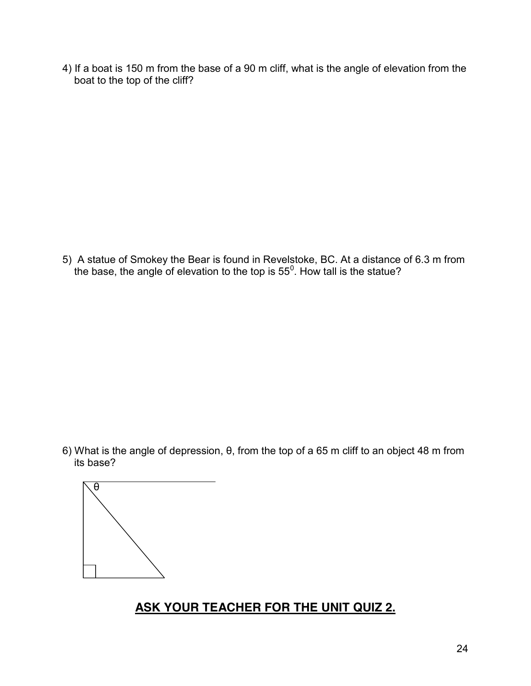4) If a boat is 150 m from the base of a 90 m cliff, what is the angle of elevation from the boat to the top of the cliff?

5) A statue of Smokey the Bear is found in Revelstoke, BC. At a distance of 6.3 m from the base, the angle of elevation to the top is 55<sup>0</sup>. How tall is the statue?

6) What is the angle of depression, θ, from the top of a 65 m cliff to an object 48 m from its base?



# **ASK YOUR TEACHER FOR THE UNIT QUIZ 2.**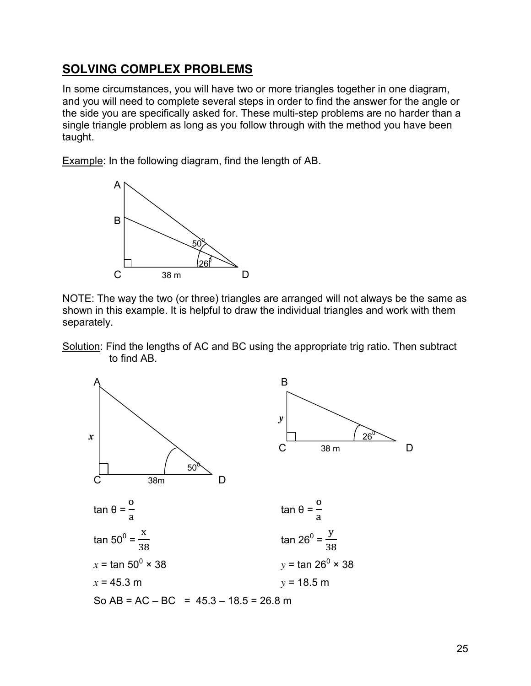### **SOLVING COMPLEX PROBLEMS**

In some circumstances, you will have two or more triangles together in one diagram, and you will need to complete several steps in order to find the answer for the angle or the side you are specifically asked for. These multi-step problems are no harder than a single triangle problem as long as you follow through with the method you have been taught.

Example: In the following diagram, find the length of AB.



NOTE: The way the two (or three) triangles are arranged will not always be the same as shown in this example. It is helpful to draw the individual triangles and work with them separately.

Solution: Find the lengths of AC and BC using the appropriate trig ratio. Then subtract to find AB.

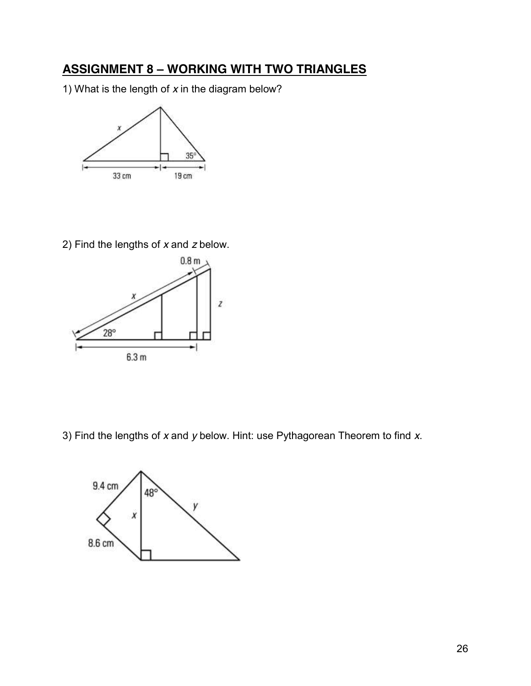# **ASSIGNMENT 8 – WORKING WITH TWO TRIANGLES**

1) What is the length of *x* in the diagram below?



2) Find the lengths of *x* and *z* below.



3) Find the lengths of *x* and *y* below. Hint: use Pythagorean Theorem to find *x*.

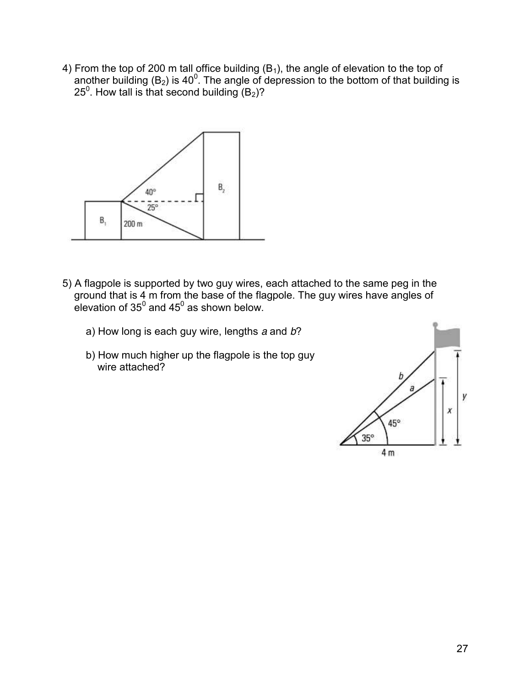4) From the top of 200 m tall office building  $(B_1)$ , the angle of elevation to the top of another building ( $B_2$ ) is 40<sup>0</sup>. The angle of depression to the bottom of that building is 25<sup>0</sup>. How tall is that second building  $(B_2)$ ?



- 5) A flagpole is supported by two guy wires, each attached to the same peg in the ground that is 4 m from the base of the flagpole. The guy wires have angles of elevation of 35 $^0$  and 45 $^0$  as shown below.
	- a) How long is each guy wire, lengths *a* and *b*?
	- b) How much higher up the flagpole is the top guy wire attached?

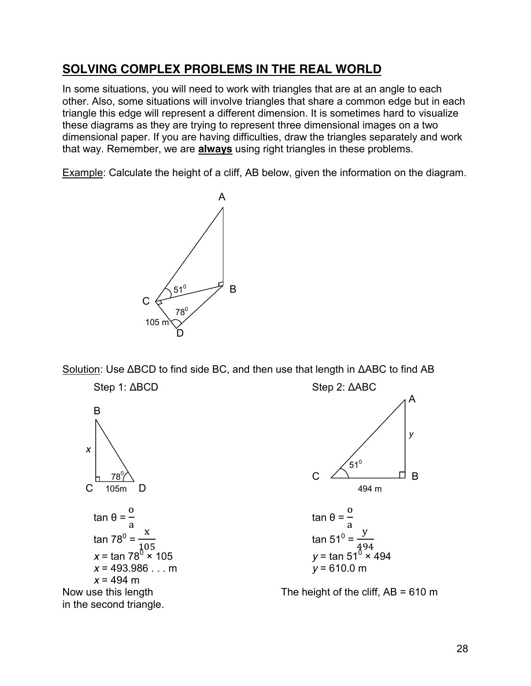### **SOLVING COMPLEX PROBLEMS IN THE REAL WORLD**

In some situations, you will need to work with triangles that are at an angle to each other. Also, some situations will involve triangles that share a common edge but in each triangle this edge will represent a different dimension. It is sometimes hard to visualize these diagrams as they are trying to represent three dimensional images on a two dimensional paper. If you are having difficulties, draw the triangles separately and work that way. Remember, we are **always** using right triangles in these problems.

Example: Calculate the height of a cliff, AB below, given the information on the diagram.



Solution: Use ΔBCD to find side BC, and then use that length in ΔABC to find AB





tan 51<sup>0</sup> = 
$$
\frac{y}{494}
$$
  
y = tan 51<sup>0</sup> × 494  
y = 610.0 m

Now use this length Now use this length Now use this length Now use this length Now use this length Now The height of the cliff, AB = 610 m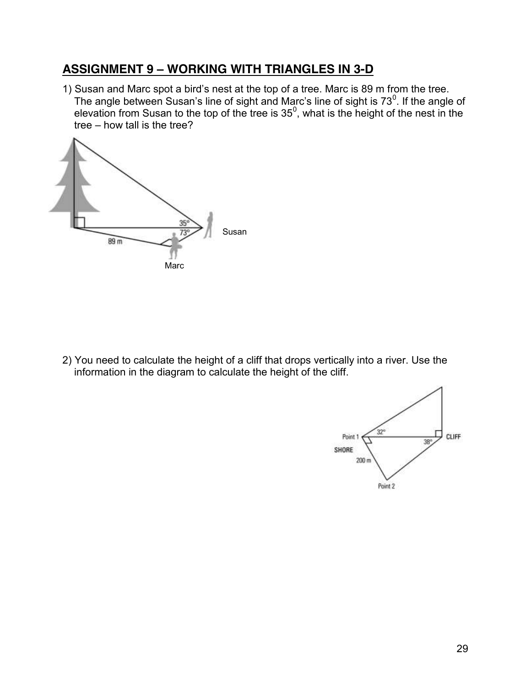### **ASSIGNMENT 9 – WORKING WITH TRIANGLES IN 3-D**

1) Susan and Marc spot a bird's nest at the top of a tree. Marc is 89 m from the tree. The angle between Susan's line of sight and Marc's line of sight is 73 $^0$ . If the angle of elevation from Susan to the top of the tree is  $35^{\circ}$ , what is the height of the nest in the tree – how tall is the tree?



2) You need to calculate the height of a cliff that drops vertically into a river. Use the information in the diagram to calculate the height of the cliff.

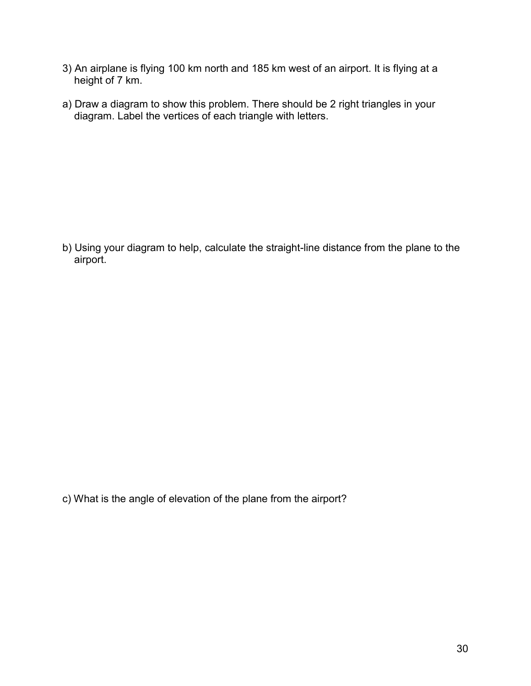- 3) An airplane is flying 100 km north and 185 km west of an airport. It is flying at a height of 7 km.
- a) Draw a diagram to show this problem. There should be 2 right triangles in your diagram. Label the vertices of each triangle with letters.

b) Using your diagram to help, calculate the straight-line distance from the plane to the airport.

c) What is the angle of elevation of the plane from the airport?